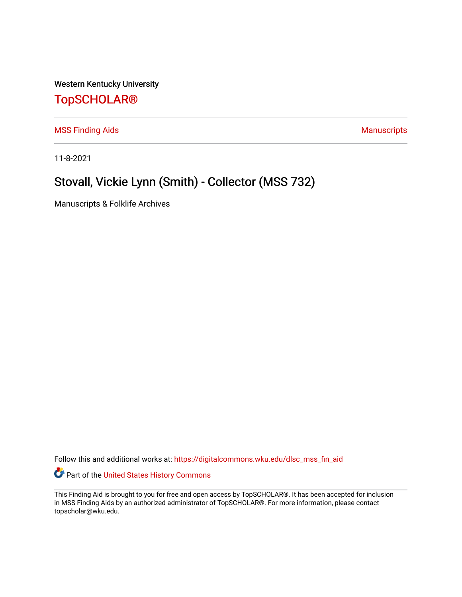Western Kentucky University

## [TopSCHOLAR®](https://digitalcommons.wku.edu/)

[MSS Finding Aids](https://digitalcommons.wku.edu/dlsc_mss_fin_aid) **MSS** Finding Aids **Manuscripts** Manuscripts

11-8-2021

# Stovall, Vickie Lynn (Smith) - Collector (MSS 732)

Manuscripts & Folklife Archives

Follow this and additional works at: [https://digitalcommons.wku.edu/dlsc\\_mss\\_fin\\_aid](https://digitalcommons.wku.edu/dlsc_mss_fin_aid?utm_source=digitalcommons.wku.edu%2Fdlsc_mss_fin_aid%2F4985&utm_medium=PDF&utm_campaign=PDFCoverPages) 

Part of the [United States History Commons](http://network.bepress.com/hgg/discipline/495?utm_source=digitalcommons.wku.edu%2Fdlsc_mss_fin_aid%2F4985&utm_medium=PDF&utm_campaign=PDFCoverPages) 

This Finding Aid is brought to you for free and open access by TopSCHOLAR®. It has been accepted for inclusion in MSS Finding Aids by an authorized administrator of TopSCHOLAR®. For more information, please contact topscholar@wku.edu.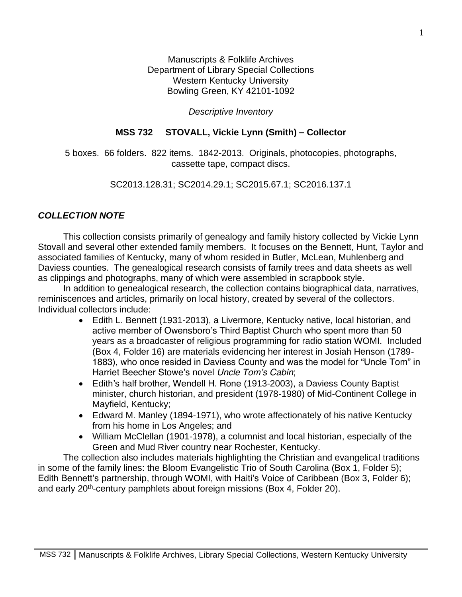Manuscripts & Folklife Archives Department of Library Special Collections Western Kentucky University Bowling Green, KY 42101-1092

*Descriptive Inventory*

#### **MSS 732 STOVALL, Vickie Lynn (Smith) – Collector**

5 boxes. 66 folders. 822 items. 1842-2013. Originals, photocopies, photographs, cassette tape, compact discs.

#### SC2013.128.31; SC2014.29.1; SC2015.67.1; SC2016.137.1

#### *COLLECTION NOTE*

 This collection consists primarily of genealogy and family history collected by Vickie Lynn Stovall and several other extended family members. It focuses on the Bennett, Hunt, Taylor and associated families of Kentucky, many of whom resided in Butler, McLean, Muhlenberg and Daviess counties. The genealogical research consists of family trees and data sheets as well as clippings and photographs, many of which were assembled in scrapbook style.

 In addition to genealogical research, the collection contains biographical data, narratives, reminiscences and articles, primarily on local history, created by several of the collectors. Individual collectors include:

- Edith L. Bennett (1931-2013), a Livermore, Kentucky native, local historian, and active member of Owensboro's Third Baptist Church who spent more than 50 years as a broadcaster of religious programming for radio station WOMI. Included (Box 4, Folder 16) are materials evidencing her interest in Josiah Henson (1789- 1883), who once resided in Daviess County and was the model for "Uncle Tom" in Harriet Beecher Stowe's novel *Uncle Tom's Cabin*;
- Edith's half brother, Wendell H. Rone (1913-2003), a Daviess County Baptist minister, church historian, and president (1978-1980) of Mid-Continent College in Mayfield, Kentucky;
- Edward M. Manley (1894-1971), who wrote affectionately of his native Kentucky from his home in Los Angeles; and
- William McClellan (1901-1978), a columnist and local historian, especially of the Green and Mud River country near Rochester, Kentucky.

 The collection also includes materials highlighting the Christian and evangelical traditions in some of the family lines: the Bloom Evangelistic Trio of South Carolina (Box 1, Folder 5); Edith Bennett's partnership, through WOMI, with Haiti's Voice of Caribbean (Box 3, Folder 6); and early 20<sup>th</sup>-century pamphlets about foreign missions (Box 4, Folder 20).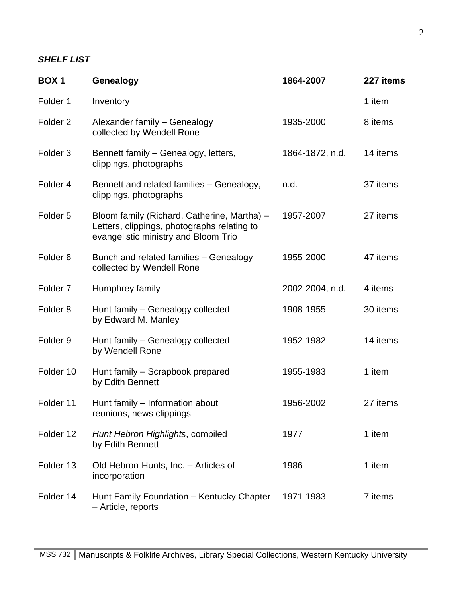### *SHELF LIST*

| <b>BOX1</b>         | Genealogy                                                                                                                          | 1864-2007       | 227 items |
|---------------------|------------------------------------------------------------------------------------------------------------------------------------|-----------------|-----------|
| Folder 1            | Inventory                                                                                                                          |                 | 1 item    |
| Folder <sub>2</sub> | Alexander family - Genealogy<br>collected by Wendell Rone                                                                          | 1935-2000       | 8 items   |
| Folder <sub>3</sub> | Bennett family - Genealogy, letters,<br>clippings, photographs                                                                     | 1864-1872, n.d. | 14 items  |
| Folder 4            | Bennett and related families - Genealogy,<br>clippings, photographs                                                                | n.d.            | 37 items  |
| Folder <sub>5</sub> | Bloom family (Richard, Catherine, Martha) -<br>Letters, clippings, photographs relating to<br>evangelistic ministry and Bloom Trio | 1957-2007       | 27 items  |
| Folder <sub>6</sub> | Bunch and related families - Genealogy<br>collected by Wendell Rone                                                                | 1955-2000       | 47 items  |
| Folder <sub>7</sub> | Humphrey family                                                                                                                    | 2002-2004, n.d. | 4 items   |
| Folder <sub>8</sub> | Hunt family - Genealogy collected<br>by Edward M. Manley                                                                           | 1908-1955       | 30 items  |
| Folder <sub>9</sub> | Hunt family - Genealogy collected<br>by Wendell Rone                                                                               | 1952-1982       | 14 items  |
| Folder 10           | Hunt family - Scrapbook prepared<br>by Edith Bennett                                                                               | 1955-1983       | 1 item    |
| Folder 11           | Hunt family – Information about<br>reunions, news clippings                                                                        | 1956-2002       | 27 items  |
| Folder 12           | Hunt Hebron Highlights, compiled<br>by Edith Bennett                                                                               | 1977            | 1 item    |
| Folder 13           | Old Hebron-Hunts, Inc. - Articles of<br>incorporation                                                                              | 1986            | 1 item    |
| Folder 14           | Hunt Family Foundation - Kentucky Chapter<br>- Article, reports                                                                    | 1971-1983       | 7 items   |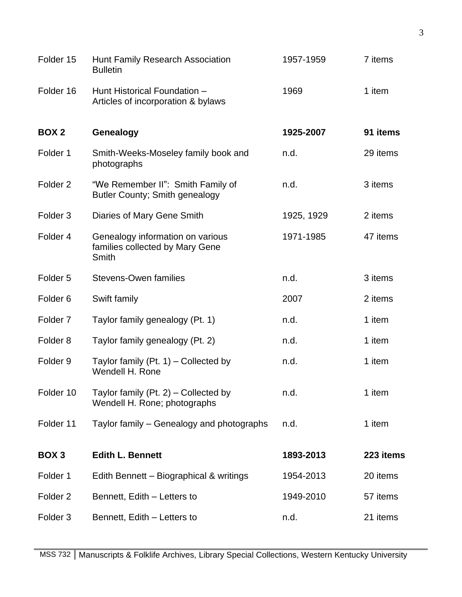| Folder 15           | Hunt Family Research Association<br><b>Bulletin</b>                          | 1957-1959  | 7 items   |
|---------------------|------------------------------------------------------------------------------|------------|-----------|
| Folder 16           | Hunt Historical Foundation -<br>Articles of incorporation & bylaws           | 1969       | 1 item    |
| BOX <sub>2</sub>    | Genealogy                                                                    | 1925-2007  | 91 items  |
| Folder 1            | Smith-Weeks-Moseley family book and<br>photographs                           | n.d.       | 29 items  |
| Folder <sub>2</sub> | "We Remember II": Smith Family of<br><b>Butler County; Smith genealogy</b>   | n.d.       | 3 items   |
| Folder <sub>3</sub> | Diaries of Mary Gene Smith                                                   | 1925, 1929 | 2 items   |
| Folder 4            | Genealogy information on various<br>families collected by Mary Gene<br>Smith | 1971-1985  | 47 items  |
| Folder <sub>5</sub> | <b>Stevens-Owen families</b>                                                 | n.d.       | 3 items   |
| Folder <sub>6</sub> | Swift family                                                                 | 2007       | 2 items   |
| Folder <sub>7</sub> | Taylor family genealogy (Pt. 1)                                              | n.d.       | 1 item    |
| Folder <sub>8</sub> | Taylor family genealogy (Pt. 2)                                              | n.d.       | 1 item    |
| Folder <sub>9</sub> | Taylor family $(Pt. 1)$ – Collected by<br>Wendell H. Rone                    | n.d.       | 1 item    |
| Folder 10           | Taylor family $(Pt. 2)$ – Collected by<br>Wendell H. Rone; photographs       | n.d.       | 1 item    |
| Folder 11           | Taylor family – Genealogy and photographs                                    | n.d.       | 1 item    |
| BOX <sub>3</sub>    | <b>Edith L. Bennett</b>                                                      | 1893-2013  | 223 items |
| Folder 1            | Edith Bennett - Biographical & writings                                      | 1954-2013  | 20 items  |
| Folder <sub>2</sub> | Bennett, Edith - Letters to                                                  | 1949-2010  | 57 items  |
| Folder <sub>3</sub> | Bennett, Edith – Letters to                                                  | n.d.       | 21 items  |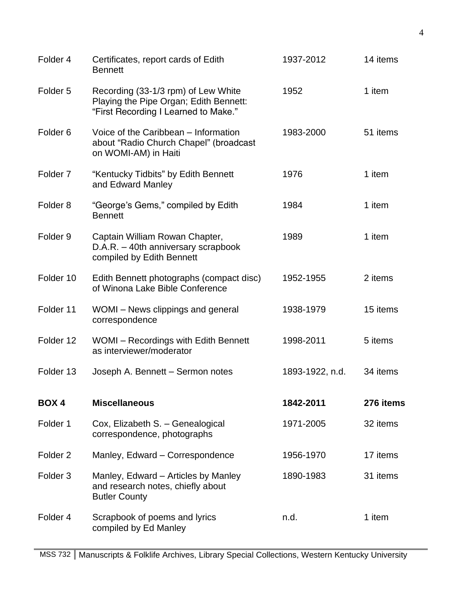| Folder 4            | Certificates, report cards of Edith<br><b>Bennett</b>                                                                 | 1937-2012       | 14 items  |
|---------------------|-----------------------------------------------------------------------------------------------------------------------|-----------------|-----------|
| Folder <sub>5</sub> | Recording (33-1/3 rpm) of Lew White<br>Playing the Pipe Organ; Edith Bennett:<br>"First Recording I Learned to Make." | 1952            | 1 item    |
| Folder <sub>6</sub> | Voice of the Caribbean - Information<br>about "Radio Church Chapel" (broadcast<br>on WOMI-AM) in Haiti                | 1983-2000       | 51 items  |
| Folder <sub>7</sub> | "Kentucky Tidbits" by Edith Bennett<br>and Edward Manley                                                              | 1976            | 1 item    |
| Folder <sub>8</sub> | "George's Gems," compiled by Edith<br><b>Bennett</b>                                                                  | 1984            | 1 item    |
| Folder <sub>9</sub> | Captain William Rowan Chapter,<br>D.A.R. - 40th anniversary scrapbook<br>compiled by Edith Bennett                    | 1989            | 1 item    |
| Folder 10           | Edith Bennett photographs (compact disc)<br>of Winona Lake Bible Conference                                           | 1952-1955       | 2 items   |
| Folder 11           | WOMI – News clippings and general<br>correspondence                                                                   | 1938-1979       | 15 items  |
| Folder 12           | WOMI - Recordings with Edith Bennett<br>as interviewer/moderator                                                      | 1998-2011       | 5 items   |
| Folder 13           | Joseph A. Bennett - Sermon notes                                                                                      | 1893-1922, n.d. | 34 items  |
| <b>BOX4</b>         | <b>Miscellaneous</b>                                                                                                  | 1842-2011       | 276 items |
| Folder 1            | Cox, Elizabeth S. - Genealogical<br>correspondence, photographs                                                       | 1971-2005       | 32 items  |
| Folder <sub>2</sub> | Manley, Edward - Correspondence                                                                                       | 1956-1970       | 17 items  |
| Folder <sub>3</sub> | Manley, Edward – Articles by Manley<br>and research notes, chiefly about<br><b>Butler County</b>                      | 1890-1983       | 31 items  |
| Folder 4            | Scrapbook of poems and lyrics<br>compiled by Ed Manley                                                                | n.d.            | 1 item    |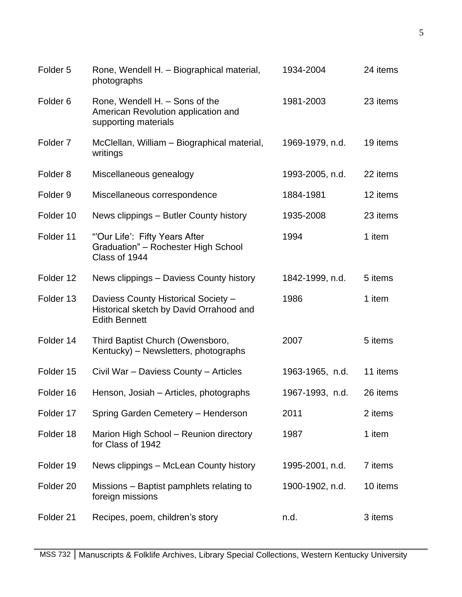| Folder <sub>5</sub>  | Rone, Wendell H. - Biographical material,<br>photographs                                               | 1934-2004       | 24 items |
|----------------------|--------------------------------------------------------------------------------------------------------|-----------------|----------|
| Folder <sub>6</sub>  | Rone, Wendell H. - Sons of the<br>American Revolution application and<br>supporting materials          | 1981-2003       | 23 items |
| Folder <sub>7</sub>  | McClellan, William - Biographical material,<br>writings                                                | 1969-1979, n.d. | 19 items |
| Folder <sub>8</sub>  | Miscellaneous genealogy                                                                                | 1993-2005, n.d. | 22 items |
| Folder <sub>9</sub>  | Miscellaneous correspondence                                                                           | 1884-1981       | 12 items |
| Folder 10            | News clippings – Butler County history                                                                 | 1935-2008       | 23 items |
| Folder 11            | "'Our Life': Fifty Years After<br>Graduation" - Rochester High School<br>Class of 1944                 | 1994            | 1 item   |
| Folder 12            | News clippings – Daviess County history                                                                | 1842-1999, n.d. | 5 items  |
| Folder 13            | Daviess County Historical Society -<br>Historical sketch by David Orrahood and<br><b>Edith Bennett</b> | 1986            | 1 item   |
| Folder 14            | Third Baptist Church (Owensboro,<br>Kentucky) – Newsletters, photographs                               | 2007            | 5 items  |
| Folder 15            | Civil War - Daviess County - Articles                                                                  | 1963-1965, n.d. | 11 items |
| Folder 16            | Henson, Josiah – Articles, photographs                                                                 | 1967-1993, n.d. | 26 items |
| Folder 17            | Spring Garden Cemetery - Henderson                                                                     | 2011            | 2 items  |
| Folder 18            | Marion High School - Reunion directory<br>for Class of 1942                                            | 1987            | 1 item   |
| Folder 19            | News clippings - McLean County history                                                                 | 1995-2001, n.d. | 7 items  |
| Folder <sub>20</sub> | Missions – Baptist pamphlets relating to<br>foreign missions                                           | 1900-1902, n.d. | 10 items |
| Folder 21            | Recipes, poem, children's story                                                                        | n.d.            | 3 items  |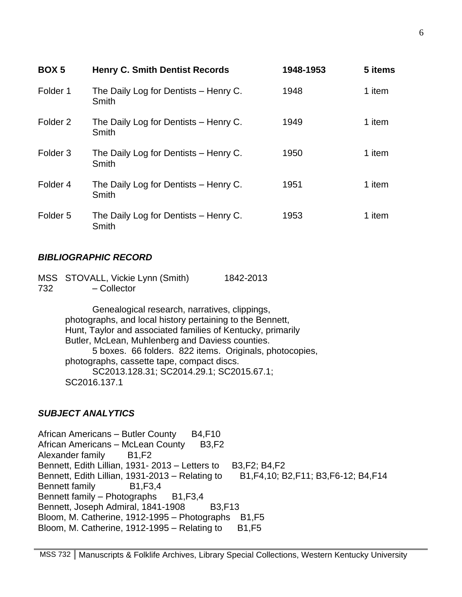| <b>BOX5</b>         | <b>Henry C. Smith Dentist Records</b>          | 1948-1953 | 5 items |
|---------------------|------------------------------------------------|-----------|---------|
| Folder 1            | The Daily Log for Dentists - Henry C.<br>Smith | 1948      | 1 item  |
| Folder <sub>2</sub> | The Daily Log for Dentists - Henry C.<br>Smith | 1949      | 1 item  |
| Folder <sub>3</sub> | The Daily Log for Dentists - Henry C.<br>Smith | 1950      | 1 item  |
| Folder <sub>4</sub> | The Daily Log for Dentists - Henry C.<br>Smith | 1951      | 1 item  |
| Folder <sub>5</sub> | The Daily Log for Dentists - Henry C.<br>Smith | 1953      | 1 item  |

#### *BIBLIOGRAPHIC RECORD*

|     | MSS STOVALL, Vickie Lynn (Smith) | 1842-2013 |
|-----|----------------------------------|-----------|
| 732 | - Collector                      |           |

Genealogical research, narratives, clippings, photographs, and local history pertaining to the Bennett, Hunt, Taylor and associated families of Kentucky, primarily Butler, McLean, Muhlenberg and Daviess counties. 5 boxes. 66 folders. 822 items. Originals, photocopies, photographs, cassette tape, compact discs. SC2013.128.31; SC2014.29.1; SC2015.67.1; SC2016.137.1

#### *SUBJECT ANALYTICS*

African Americans – Butler County B4,F10 African Americans – McLean County B3,F2 Alexander family B1, F2 Bennett, Edith Lillian, 1931- 2013 – Letters to B3, F2; B4, F2 Bennett, Edith Lillian, 1931-2013 – Relating to B1,F4,10; B2,F11; B3,F6-12; B4,F14 Bennett family B1, F3, 4 Bennett family – Photographs B1,F3,4 Bennett, Joseph Admiral, 1841-1908 B3, F13 Bloom, M. Catherine, 1912-1995 – Photographs B1, F5 Bloom, M. Catherine,  $1912-1995 -$ Relating to B1, F5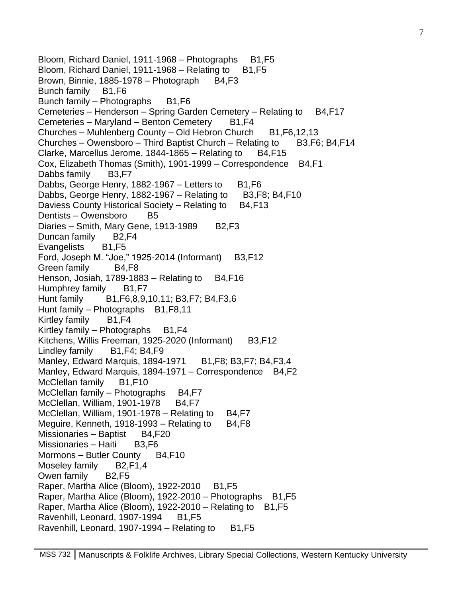Bloom, Richard Daniel, 1911-1968 – Photographs B1, F5 Bloom, Richard Daniel, 1911-1968 – Relating to  $B1,F5$ Brown, Binnie, 1885-1978 – Photograph B4, F3 Bunch family B1,F6 Bunch family – Photographs B1,F6 Cemeteries – Henderson – Spring Garden Cemetery – Relating to B4, F17 Cemeteries – Maryland – Benton Cemetery B1,F4 Churches – Muhlenberg County – Old Hebron Church  $B1,F6,12,13$ Churches – Owensboro – Third Baptist Church – Relating to B3, F6; B4, F14 Clarke, Marcellus Jerome,  $1844-1865 -$ Relating to B4, F15 Cox, Elizabeth Thomas (Smith), 1901-1999 – Correspondence B4,F1 Dabbs family B3,F7 Dabbs, George Henry, 1882-1967 – Letters to  $B1,F6$ Dabbs, George Henry, 1882-1967 – Relating to B3, F8; B4, F10 Daviess County Historical Society – Relating to B4, F13 Dentists – Owensboro B5 Diaries – Smith, Mary Gene, 1913-1989  $B2, F3$ Duncan family B2,F4 Evangelists B1,F5 Ford, Joseph M. "Joe," 1925-2014 (Informant) B3,F12 Green family B4,F8 Henson, Josiah, 1789-1883 – Relating to B4, F16 Humphrey family B1, F7 Hunt family B1,F6,8,9,10,11; B3,F7; B4,F3,6 Hunt family – Photographs B1,F8,11 Kirtley family B1,F4 Kirtley family – Photographs  $B1, F4$ Kitchens, Willis Freeman, 1925-2020 (Informant) B3, F12 Lindley family B1,F4; B4,F9 Manley, Edward Marquis, 1894-1971 B1, F8; B3, F7; B4, F3, 4 Manley, Edward Marquis, 1894-1971 – Correspondence B4, F2 McClellan family B1, F10 McClellan family  $-$  Photographs B4, F7 McClellan, William, 1901-1978 B4, F7 McClellan, William, 1901-1978 – Relating to  $B4,F7$ Meguire, Kenneth, 1918-1993 – Relating to  $B4,F8$ Missionaries – Baptist B4,F20 Missionaries – Haiti B3, F6 Mormons – Butler County B4, F10 Moseley family B2, F1, 4 Owen family B2,F5 Raper, Martha Alice (Bloom), 1922-2010 B1, F5 Raper, Martha Alice (Bloom), 1922-2010 – Photographs B1, F5 Raper, Martha Alice (Bloom),  $1922-2010$  – Relating to B1, F5 Ravenhill, Leonard, 1907-1994 B1, F5 Ravenhill, Leonard, 1907-1994 – Relating to  $B1,F5$